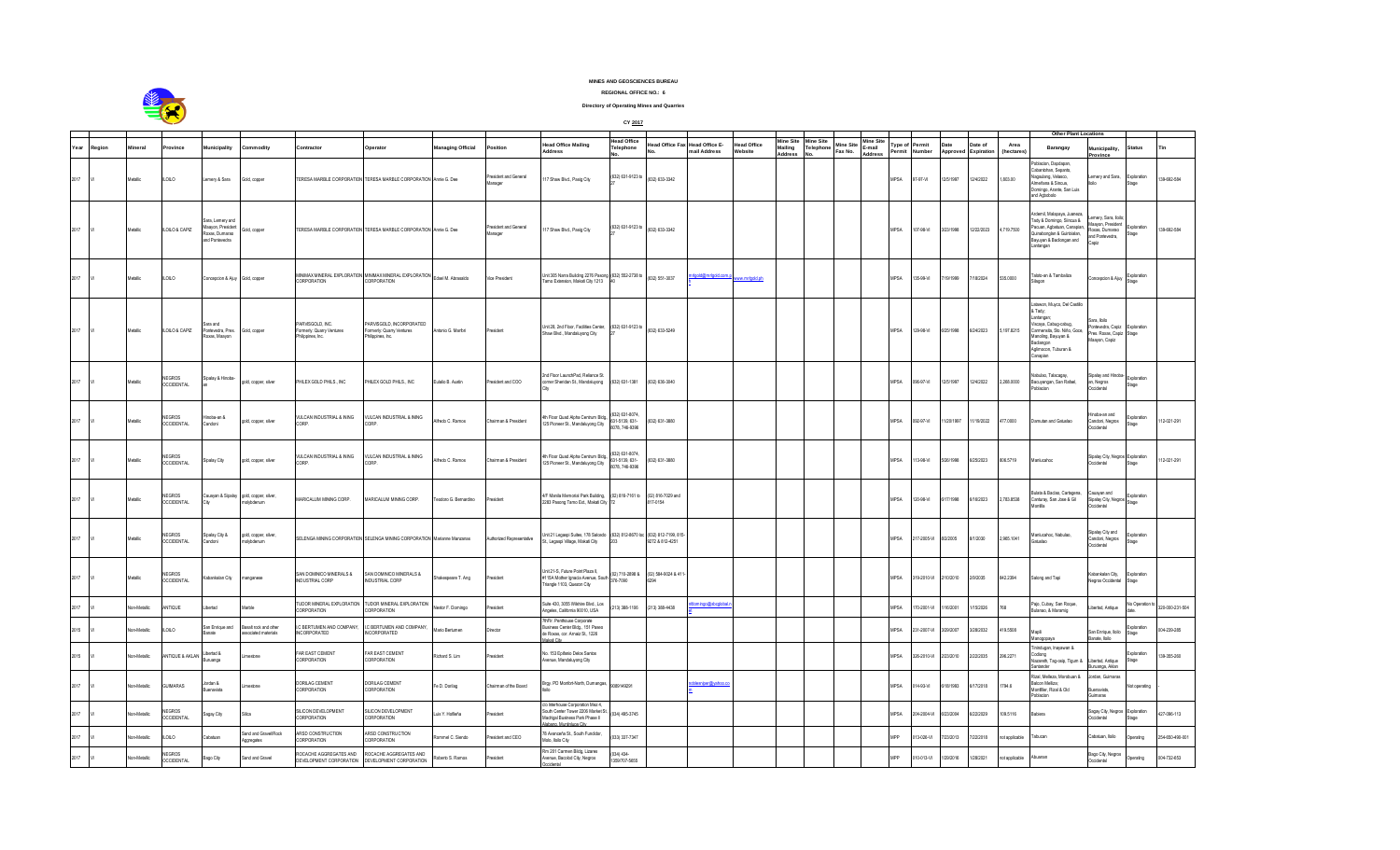

**REGIONAL OFFICE NO.: 6**

**Directory of Operating Mines and Quarries**

|      |        |                    |                                    |                                                                        |                                                      |                                                                  |                                                                         |                          |                                  |                                                                                                                              |                                                  | CY 2017                                                   |                                                |                               |                   |                  |                             |                          |                                |             |                  |                   |                   |                                                                                                                                                                                      |                                                                                    |                       |                 |
|------|--------|--------------------|------------------------------------|------------------------------------------------------------------------|------------------------------------------------------|------------------------------------------------------------------|-------------------------------------------------------------------------|--------------------------|----------------------------------|------------------------------------------------------------------------------------------------------------------------------|--------------------------------------------------|-----------------------------------------------------------|------------------------------------------------|-------------------------------|-------------------|------------------|-----------------------------|--------------------------|--------------------------------|-------------|------------------|-------------------|-------------------|--------------------------------------------------------------------------------------------------------------------------------------------------------------------------------------|------------------------------------------------------------------------------------|-----------------------|-----------------|
|      |        |                    |                                    |                                                                        |                                                      |                                                                  |                                                                         |                          |                                  |                                                                                                                              | lead Office                                      |                                                           |                                                |                               | Mine Site         | <b>Mine Site</b> |                             | line Site                |                                |             |                  | Date of           |                   | Other Plant Locations                                                                                                                                                                |                                                                                    |                       |                 |
| Year | Region | lineral            | ovince                             | <b>Aunicipality</b>                                                    | Commodity                                            | Contractor                                                       | Operator                                                                | <b>Managing Official</b> | osition                          | lead Office Mailing<br>Address                                                                                               | elephone                                         |                                                           | lead Office Fax Head Office E-<br>mail Address | <b>Head Office</b><br>Vebsite | Mailing<br>Addres | Telephone        | <b>Mine Site</b><br>Fax No. | E-mail<br><b>Address</b> | <b>Type of Permit</b><br>ermit | Number      | Date<br>Approved | <b>Expiration</b> | Area<br>(hectare) | Barangay                                                                                                                                                                             | lunicipality,<br>rovince                                                           | <b>Status</b>         |                 |
| 2017 |        | Metallic           | LOLO                               | Lemery & Sara                                                          | Gold, copper                                         |                                                                  | TERESA MARBLE CORPORATION TERESA MARBLE CORPORATION Annie G. Dee        |                          | President and General<br>Manager | 17 Shaw Blvd., Pasig City                                                                                                    | (632) 631-9123 to                                | (632) 633-3342                                            |                                                |                               |                   |                  |                             |                          | MPSA                           | 97-97-VI    | 12/5/1997        | 12/4/2022         | 1,803.00          | blacion, Dapdapan,<br>Cabantohan, Sepanto,<br>Nagsulang, Velasco,<br>meñana & Sincua,<br>Iomingo, Arante, San Luis<br>nd Agbobolo                                                    | emery and Sara,                                                                    | .xploration<br>taqe   | 39-692-584      |
| 2017 |        | Metallic           | LOLO & CAPIZ                       | ara, Lemery and<br>aavon, President<br>oxas, Dumarao<br>and Pontevedra | Gold, copper                                         |                                                                  | TERESA MARBLE CORPORATION TERESA MARBLE CORPORATION Annie G. Dee        |                          | resident and General<br>Manager  | 17 Shaw Blvd., Pasig City                                                                                                    | (632) 631-9123 to                                | (632) 633-3342                                            |                                                |                               |                   |                  |                             |                          | <b>MPSA</b>                    | 107-98-VI   | /23/1998         | 2/22/2023         | 4,719.7500        | rdemil. Malapaya, Juaneza<br>Tady & Domingo, Siincua &<br>Pacuan, Agbatuan, Canapian<br>uinabonglan & Guinbialan,<br>Bayuyan & Badiongan and<br>antangan                             | mery, Sara, Iloil<br>aayon, Presiden<br>Roxas, Dumarao<br>and Pontevedra,<br>Capiz | xploration<br>Stage   | 39-692-584      |
| 2017 |        | Metallic           | LOLO                               | Concepcion & Ajuy Gold, copper                                         |                                                      | CORPORATION                                                      | MINMAX MINERAL EXPLORATION MINIMAX MINERAL EXPLORATION<br>CORPORATION   | Edsel M. Abrasaldo       | Vice President                   | Unit 305 Narra Building 2276 Pasong (632) 552-2738 to<br>Tamo Extension, Makati City 1213                                    |                                                  | (632) 551-3037                                            | d@mrlgold.com                                  | ww.mrlgold.ph                 |                   |                  |                             |                          | MPSA                           | 35-99-VI    | 19/1999          | /18/2024          | 535.0000          | Taloto-an & Tambaliza<br>lannn                                                                                                                                                       | oncepcion & Ajuy                                                                   | Exploration<br>Stane  |                 |
| 2017 |        | <b>Metallic</b>    | LOLO & CAPIZ                       | Sara and<br>ontevedra, Pres.<br>oxas. Maavon                           | Gold, copper                                         | PARVISGOLD, NC.<br>Formerly: Quarry Ventures<br>hilippines, Inc. | ARVISGOLD, INCORPORATED<br>ormerly: Quarry Ventures<br>hilippines, Inc. | Antonio G Marfori        | tesident                         | Unit 28, 2nd Floor, Facilities Center, (632) 631-9123 to<br>haw Blvd., Mandaluyong City                                      |                                                  | (632) 633-5249                                            |                                                |                               |                   |                  |                             |                          | MPSA                           | 129-98-VI   | 6/25/1998        | 6/24/2023         | 197 8215          | atawon, Muyco, Del Castillo<br>& Tady;<br>Lantangan<br>Viscaya, Cabug-cabug,<br>Carmensita, Sto. Niño, Goce,<br>Manoling, Bayuyan &<br>Badiangon<br>Aglimocon, Tuburan &<br>Canapian | ara, Iloilo<br>Pontevedra, Capiz<br>Pres. Roxas, Capiz<br>Maayon, Capiz            | Exploration<br>Stage  |                 |
| 2017 |        | tetalic            | VEGROS<br><b>OCCIDENTAL</b>        | palay & Hinoba-                                                        | gold, copper, silver                                 | PHILEX GOLD PHILS., NC                                           | HILEX GOLD PHILS., INC                                                  | ulalio B. Austin         | esident and COO                  | 2nd Floor LaunchPad, Reliance St.<br>corner Sheridan St., Mandaluyong                                                        | 632) 631-1381                                    | 632) 636-3040                                             |                                                |                               |                   |                  |                             |                          | <b>IPSA</b>                    | 96-97-VI    | 2/5/1997         | 2/4/2022          | 2,268.0000        | labulao. Talacagay<br>acuyangan, San Rafael,<br>blacion                                                                                                                              | ipalay and Hinob<br>1, Negros<br>ccidental                                         | Exploration<br>tage   |                 |
| 2017 |        | <b>Aetallic</b>    | <b>IFGROS</b><br><b>OCCIDENTAL</b> | a na-aoin<br>inobna:                                                   | pold, copper, silver                                 | <b><i>A</i>ULCAN INDUSTRIAL &amp; INING</b><br>CORP              | /ULCAN INDUSTRIAL & INING<br>CORP.                                      | Alfredo C. Ramos         | Chairman & President             | th Floor Quad Alpha Centrum Bldg.<br>125 Pioneer St., Mandaluyong City                                                       | 332) 631-8074<br>31-5139, 631-<br>078, 746-9396  | 632) 631-3880                                             |                                                |                               |                   |                  |                             |                          | <b>MPSA</b>                    | 092-97-VI   | /20/1997         | 1/19/2022         | 177.0000          | amutan and Gatuslao                                                                                                                                                                  | inoba-an and<br>Candoni, Negros<br>ccidental                                       | xploration<br>apet    | 12-021-291      |
| 2017 |        | Metallic           | VEGROS<br><b>OCCIDENTAL</b>        | Sipalay City                                                           | gold, copper, silver                                 | <b><i>VULCAN INDUSTRIAL &amp; INING</i></b><br>ORP               | <b>/ULCAN INDUSTRIAL &amp; INING</b><br>nap                             | Nfredo C. Ramos          | hairman & President              | th Floor Quad Alpha Centrum Bldg.,<br>125 Pioneer St., Mandaluyong City                                                      | 6321 631-8074<br>31-5139, 631-<br>8078, 746-9396 | 32) 631-3880                                              |                                                |                               |                   |                  |                             |                          | <b>IPSA</b>                    | 13-98-VI    | 26/1998          | 6/25/2023         | 06.5719           | <b>Manlucahoc</b>                                                                                                                                                                    | ipalay City, Negro<br>ccidental                                                    | Exploration<br>tane   | 12-021-291      |
| 2017 |        | letalic            | <b>IFGROS</b><br><b>OCCIDENTAL</b> |                                                                        | auayan & Sipalay gold, copper, silver,<br>nowholenum | ARICALUM MINING CORP.                                            | ARICALUM MINING CORP.                                                   | eodoro G. Bernardino     | asident                          | /F Manila Memorial Park Building,<br>2283 Pasong Tamo Ext., Makati City                                                      | (02) 816-7161 to                                 | 02) 816-7029 and<br>317-0154                              |                                                |                               |                   |                  |                             |                          | <b>IPSA</b>                    | 20-98-VI    | 17/1998          | /16/2023          | 2,783.8538        | Sulata & Baclao, Cartagena,<br>Canturay, San Jose & Gil<br>ntila                                                                                                                     | auayan and<br>Sipalay City, Negro<br>ccidental                                     | xploration<br>Stage   |                 |
| 2017 |        | <b>tetalic</b>     | VEGROS<br><b>OCCIDENTAL</b>        | ipalay City &<br>andoni                                                | gold, copper, silver,<br>nolybdenum                  |                                                                  | SELENGA MINING CORPORATION SELENGA MINING CORPORATION Marianne Manzanas |                          | uthorized Representative         | Jnit 21 Legaspi Suites, 178 Salcedo<br>št., Legaspi Village, Makati City                                                     |                                                  | (632) 812-8670 loc (632) 812-7199, 815<br>9272 & 812-4251 |                                                |                               |                   |                  |                             |                          | <b>IPSA</b>                    | 17-2005-VI  | 3/2/2005         | /1/2030           | ,965.1041         | Manlucahoc Nabulao<br>calautei                                                                                                                                                       | ipalay City and<br>andoni, Negros<br>Ccidental                                     | ixploration<br>epet's |                 |
| 2017 |        | tetalic            | VEGROS<br><b>OCCIDENTAL</b>        | abankalan City                                                         | anganese                                             | SAN DOMINICO MINERALS &<br><b>INDUSTRIAL CORP</b>                | AN DOMINICO MINERALS &<br>NDUSTRIAL CORP                                | hakespeare T. Ang        | esident                          | Unit 21-S, Future Point Plaza II,<br>115A Mother Ignacia Avenue, South<br>nangle 1103, Quezon City                           | 21 710-2898 &<br>376-7090                        | (02) 584-9024 & 411                                       |                                                |                               |                   |                  |                             |                          | MPSA                           | 19-2010-VI  | /10/2010         | 2/9/2035          | 342.2394          | along and Tapi                                                                                                                                                                       | abankalan City<br>Jegros Occidental                                                | xploration<br>stage   |                 |
| 2017 |        | on-Metallic        | <b>NTIQUE</b>                      | bertad                                                                 | larble                                               | TUDOR MINERAL EXPLORATION<br>CORPORATION                         | <b>FUDOR MINERAL EXPLORATION</b><br>CORPORATION                         | lestor F. Domingo        | sident                           | Suite 430, 3055 Wilshire Blvd., Los<br>Ingeles, California 90010, USA                                                        | 213) 388-1106                                    | 213) 388-4438                                             |                                                |                               |                   |                  |                             |                          | <b>IPSA</b>                    | 70-2001-VI  | 16/2001          | 15/2026           | 768               | Paio, Cubay, San Roque<br>Julanao, & Maramig                                                                                                                                         | bertad, Antique                                                                    | lo Operation          | 320-000-231-504 |
| 2015 |        | on-Metalic         | LOLO                               | San Enrique and<br>anate                                               | lasalt rock and other<br>ssociated materials         | <b>EFRIUMEN AND COMPANY</b><br><b>NCORPORATED</b>                | <b>BERTUMEN AND COMPANY</b><br>NCORPORATED                              | fario Bertumen           | ) irector                        | 7thFir. Penthouse Corporate<br>usiness Center Bldg., 151 Pased<br>le Roxas, cor. Arnaiz St., 1226<br>akati Citu              |                                                  |                                                           |                                                |                               |                   |                  |                             |                          | <b>IPSA</b>                    | 31-2007-VI  | /29/2007         | 3/28/2032         | 119.5508          |                                                                                                                                                                                      | san Enrique, Iloilo<br>nate. Iloilo                                                | minration<br>tage     | 04-239-285      |
| 2015 |        | Ion-Metallic       | NTIQUE & AKLAN                     | ibertad &<br>uruanga                                                   | mestone                                              | FAR EAST CEMENT<br>CORPORATION                                   | AR EAST CEMENT<br>CORPORATION                                           | tichard S. Lim           | asident                          | lo. 153 Epifanio Delos Santos<br>venue, Mandaluyong City                                                                     |                                                  |                                                           |                                                |                               |                   |                  |                             |                          | <b>IPSA</b>                    | 26-2010-VI  | 23/2010          | 2/22/2035         | 296.2271          | indugan, Inayawan &<br>priciba<br>szareth, Tag-osip, Tigum &                                                                                                                         | ibertad, Antique<br>uanga, Akla                                                    | coloration<br>tage    | 39-355-260      |
| 2017 |        | <b>Inn-Metalic</b> | <b>JUMARAS</b>                     | lordan &<br>uenavista                                                  | imestone                                             | DORILAG CEMENT<br>CORPORATION                                    | <b>DORILAG CEMENT</b><br>CORPORATION                                    | Fe D. Dorilag            | Chairman of the Board            | Brgy. PD Monfort-North, Dumangas,                                                                                            | 9089149291                                       |                                                           | niper@vahoo.                                   |                               |                   |                  |                             |                          | MPSA                           | 14-93-VI    | 18/1993          | /17/2018          | 1794.6            | Rizal, Melleza, Morobuan &<br>salcon Melliza:<br>Montfiler, Rizal & Old<br>oblacion                                                                                                  | ordan, Guimaras<br>ienavista,<br>imaras                                            | ot operating          |                 |
| 2017 |        | <b>Inn-Metalic</b> | VEGROS<br><b>CCIDENTAL</b>         | Sagay City                                                             | Silica                                               | SILICON DEVELOPMENT<br>CORPORATION                               | <b>SILICON DEVELOPMENT</b><br>ORPORATION                                | uis Y. Hofileña          | thehias                          | /o Interhouse Corporation Mez 4<br>South Center Tower 2206 Market St.<br>ladrigal Business Park Phase II<br>ang Muntinlung C | 034) 495-3745                                    |                                                           |                                                |                               |                   |                  |                             |                          | <b>IPSA</b>                    | 204-2004-VI | /23/2004         | 6/22/2029         | 109.5116          | <b>Sabiera</b>                                                                                                                                                                       | Sagay City, Negros<br>ccidental                                                    | ixploration<br>tage   | 127-096-113     |
| 2017 |        | lon-Metallic       | LOLO                               | abatuan                                                                | and and Gravel/Rock<br>ggregates                     | ARSD CONSTRUCTION<br>CORPORATION                                 | ARSD CONSTRUCTION<br>CORPORATION                                        | ommel C. Siendo          | sident and CEO                   | 8 Avanceña St., South Fundidor,<br>folo, Iloilo City                                                                         | 033) 337-7347                                    |                                                           |                                                |                               |                   |                  |                             |                          | <b>IPP</b>                     | 13-026-VI   | 23/2013          | 7/22/2018         | ot applicable     | abucan                                                                                                                                                                               | Cabatuan, Iloilo                                                                   | perafing              | 54-650-490-001  |
| 2017 |        | on-Metallic        | NEGROS<br>OCCIDENTAL               | ago City                                                               | and and Gravel                                       | ROCACHE AGGREGATES AND<br>DEVELOPMENT CORPORATION                | ROCACHE AGGREGATES AND<br>DEVELOPMENT CORPORATION                       | oberto S. Ramos          | sident                           | Rm 201 Carmen Bildg, Lizares<br>venue, Bacolod City, Negros<br>cidental                                                      | 134) 434-<br>359/707-5655                        |                                                           |                                                |                               |                   |                  |                             |                          | <b>IPP</b>                     | 10-013-VI   | 29/2016          | /28/2021          | t applicable      | Abuanan                                                                                                                                                                              | lago City, Negros<br>Occidental                                                    | perating              | 04-732-653      |